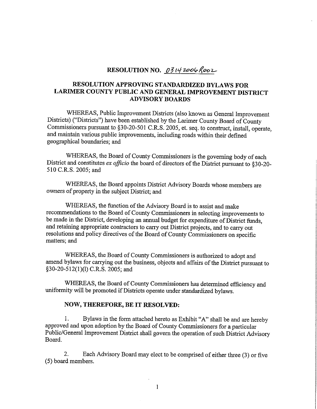## RESOLUTION NO. 03142006 Rooz

## **RESOLUTION APPROVING STANDARDIZED BYLAWS FOR LARIMER COUNTY PUBLIC AND GENERAL IMPROVEMENT DISTRICT ADVISORY BOARDS**

WHEREAS, Public Improvement Districts (also known as General Improvement Districts) ("Districts") have been established by the Larimer County Board of County Commissioners pursuant to §30-20-501 C.R.S. 2005, et. seq. to construct, install, operate, and maintain various public improvements, including roads within their defined geographical boundaries; and

WHEREAS, the Board of County Commissioners is the governing body of each District and constitutes *ex officio* the board of directors of the District pursuant to §30-20-510 C.R.S. 2005; and

WHEREAS, the Board appoints District Advisory Boards whose members are owners of property in the subject District; and

WHEREAS, the function of the Advisory Board is to assist and make recommendations to the Board of County Commissioners in selecting improvements to be made in the District, developing an annual budget for expenditure of District funds, and retaining appropriate contractors to carry out District projects, and to carry out resolutions and policy directives of the Board of County Commissioners on specific matters; and

WHEREAS, the Board of County Commissioners is authorized to adopt and amend bylaws for carrying out the business, objects and affairs of the District pursuant to §30-20-512(1)(1) C.R.S. 2005; and

WHEREAS, the Board of County Commissioners has determined efficiency and uniformity will be promoted if Districts operate under standardized bylaws.

## **NOW, THEREFORE, BE IT RESOLVED:**

I. Bylaws in the form attached hereto as Exhibit "A" shall be and are hereby approved and upon adoption by the Board of County Commissioners for a particular Public/General Improvement District shall govern the operation of such District Advisory Board.

2. Each Advisory Board may elect to be comprised of either three (3) or five (5) board members.